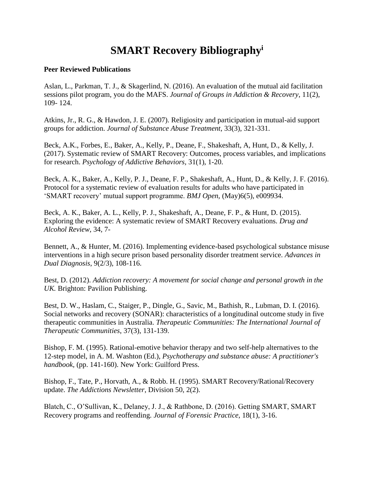## **SMART Recovery Bibliography<sup>i</sup>**

## **Peer Reviewed Publications**

Aslan, L., Parkman, T. J., & Skagerlind, N. (2016). An evaluation of the mutual aid facilitation sessions pilot program, you do the MAFS. *Journal of Groups in Addiction & Recovery*, 11(2), 109- 124.

Atkins, Jr., R. G., & Hawdon, J. E. (2007). Religiosity and participation in mutual-aid support groups for addiction. *Journal of Substance Abuse Treatment*, 33(3), 321-331.

Beck, A.K., Forbes, E., Baker, A., Kelly, P., Deane, F., Shakeshaft, A, Hunt, D., & Kelly, J. (2017). Systematic review of SMART Recovery: Outcomes, process variables, and implications for research. *Psychology of Addictive Behaviors,* 31(1), 1-20.

Beck, A. K., Baker, A., Kelly, P. J., Deane, F. P., Shakeshaft, A., Hunt, D., & Kelly, J. F. (2016). Protocol for a systematic review of evaluation results for adults who have participated in 'SMART recovery' mutual support programme. *BMJ Open*, (May)6(5), e009934.

Beck, A. K., Baker, A. L., Kelly, P. J., Shakeshaft, A., Deane, F. P., & Hunt, D. (2015). Exploring the evidence: A systematic review of SMART Recovery evaluations. *Drug and Alcohol Review*, 34, 7-

Bennett, A., & Hunter, M. (2016). Implementing evidence-based psychological substance misuse interventions in a high secure prison based personality disorder treatment service. *Advances in Dual Diagnosis*, 9(2/3), 108-116.

Best, D. (2012). *Addiction recovery: A movement for social change and personal growth in the UK.* Brighton: Pavilion Publishing.

Best, D. W., Haslam, C., Staiger, P., Dingle, G., Savic, M., Bathish, R., Lubman, D. I. (2016). Social networks and recovery (SONAR): characteristics of a longitudinal outcome study in five therapeutic communities in Australia. *Therapeutic Communities: The International Journal of Therapeutic Communities*, 37(3), 131-139.

Bishop, F. M. (1995). Rational-emotive behavior therapy and two self-help alternatives to the 12-step model, in A. M. Washton (Ed.), *Psychotherapy and substance abuse: A practitioner's handbook,* (pp. 141-160). New York: Guilford Press.

Bishop, F., Tate, P., Horvath, A., & Robb. H. (1995). SMART Recovery/Rational/Recovery update. *The Addictions Newsletter*, Division 50, 2(2).

Blatch, C., O'Sullivan, K., Delaney, J. J., & Rathbone, D. (2016). Getting SMART, SMART Recovery programs and reoffending. *Journal of Forensic Practice*, 18(1), 3-16.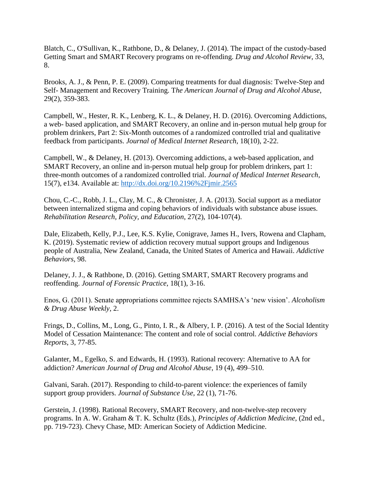Blatch, C., O'Sullivan, K., Rathbone, D., & Delaney, J. (2014). The impact of the custody-based Getting Smart and SMART Recovery programs on re-offending. *Drug and Alcohol Review*, 33, 8.

Brooks, A. J., & Penn, P. E. (2009). Comparing treatments for dual diagnosis: Twelve-Step and Self- Management and Recovery Training. T*he American Journal of Drug and Alcohol Abuse*, 29(2), 359-383.

Campbell, W., Hester, R. K., Lenberg, K. L., & Delaney, H. D. (2016). Overcoming Addictions, a web- based application, and SMART Recovery, an online and in-person mutual help group for problem drinkers, Part 2: Six-Month outcomes of a randomized controlled trial and qualitative feedback from participants. *Journal of Medical Internet Research*, 18(10), 2-22.

Campbell, W., & Delaney, H. (2013). Overcoming addictions, a web-based application, and SMART Recovery, an online and in-person mutual help group for problem drinkers, part 1: three-month outcomes of a randomized controlled trial. *Journal of Medical Internet Research*, 15(7), e134. Available at:<http://dx.doi.org/10.2196%2Fjmir.2565>

Chou, C.-C., Robb, J. L., Clay, M. C., & Chronister, J. A. (2013). Social support as a mediator between internalized stigma and coping behaviors of individuals with substance abuse issues. *Rehabilitation Research, Policy, and Education*, 27(2), 104-107(4).

Dale, Elizabeth, Kelly, P.J., Lee, K.S. Kylie, Conigrave, James H., Ivers, Rowena and Clapham, K. (2019). Systematic review of addiction recovery mutual support groups and Indigenous people of Australia, New Zealand, Canada, the United States of America and Hawaii. *Addictive Behaviors,* 98.

Delaney, J. J., & Rathbone, D. (2016). Getting SMART, SMART Recovery programs and reoffending. *Journal of Forensic Practice*, 18(1), 3-16.

Enos, G. (2011). Senate appropriations committee rejects SAMHSA's 'new vision'. *Alcoholism & Drug Abuse Weekly*, 2.

Frings, D., Collins, M., Long, G., Pinto, I. R., & Albery, I. P. (2016). A test of the Social Identity Model of Cessation Maintenance: The content and role of social control. *Addictive Behaviors Reports*, 3, 77-85.

Galanter, M., Egelko, S. and Edwards, H. (1993). Rational recovery: Alternative to AA for addiction? *American Journal of Drug and Alcohol Abuse*, 19 (4), 499–510.

Galvani, Sarah. (2017). Responding to child-to-parent violence: the experiences of family support group providers. *Journal of Substance Use,* 22 (1), 71-76.

Gerstein, J. (1998). Rational Recovery, SMART Recovery, and non-twelve-step recovery programs. In A. W. Graham & T. K. Schultz (Eds.), *Principles of Addiction Medicine*, (2nd ed., pp. 719-723). Chevy Chase, MD: American Society of Addiction Medicine.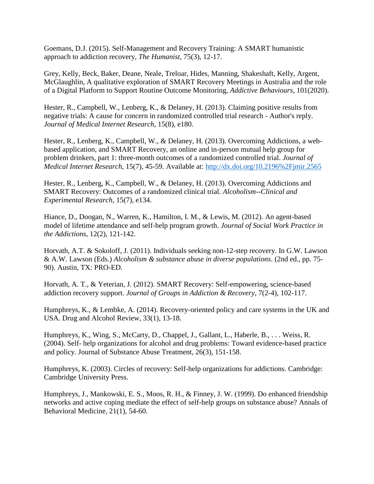Goemans, D.J. (2015). Self-Management and Recovery Training: A SMART humanistic approach to addiction recovery, *The Humanist*, 75(3), 12-17.

Grey, Kelly, Beck, Baker, Deane, Neale, Treloar, Hides, Manning, Shakeshaft, Kelly, Argent, McGlaughlin, A qualitative exploration of SMART Recovery Meetings in Australia and the role of a Digital Platform to Support Routine Outcome Monitoring, *Addictive Behaviours*, 101(2020).

Hester, R., Campbell, W., Lenberg, K., & Delaney, H. (2013). Claiming positive results from negative trials: A cause for concern in randomized controlled trial research - Author's reply. *Journal of Medical Internet Research*, 15(8), e180.

Hester, R., Lenberg, K., Campbell, W., & Delaney, H. (2013). Overcoming Addictions, a webbased application, and SMART Recovery, an online and in-person mutual help group for problem drinkers, part 1: three-month outcomes of a randomized controlled trial. *Journal of Medical Internet Research*, 15(7), 45-59. Available at:<http://dx.doi.org/10.2196%2Fjmir.2565>

Hester, R., Lenberg, K., Campbell, W., & Delaney, H. (2013). Overcoming Addictions and SMART Recovery: Outcomes of a randomized clinical trial. *Alcoholism--Clinical and Experimental Research*, 15(7), e134.

Hiance, D., Doogan, N., Warren, K., Hamilton, I. M., & Lewis, M. (2012). An agent-based model of lifetime attendance and self-help program growth. *Journal of Social Work Practice in the Addictions*, 12(2), 121-142.

Horvath, A.T. & Sokoloff, J. (2011). Individuals seeking non-12-step recovery. In G.W. Lawson & A.W. Lawson (Eds.) *Alcoholism & substance abuse in diverse populations*. (2nd ed., pp. 75- 90). Austin, TX: PRO-ED.

Horvath, A. T., & Yeterian, J. (2012). SMART Recovery: Self-empowering, science-based addiction recovery support. *Journal of Groups in Addiction & Recovery*, 7(2-4), 102-117.

Humphreys, K., & Lembke, A. (2014). Recovery-oriented policy and care systems in the UK and USA. Drug and Alcohol Review, 33(1), 13-18.

Humphreys, K., Wing, S., McCarty, D., Chappel, J., Gallant, L., Haberle, B., . . . Weiss, R. (2004). Self- help organizations for alcohol and drug problems: Toward evidence-based practice and policy. Journal of Substance Abuse Treatment, 26(3), 151-158.

Humphreys, K. (2003). Circles of recovery: Self-help organizations for addictions. Cambridge: Cambridge University Press.

Humphreys, J., Mankowski, E. S., Moos, R. H., & Finney, J. W. (1999). Do enhanced friendship networks and active coping mediate the effect of self-help groups on substance abuse? Annals of Behavioral Medicine, 21(1), 54-60.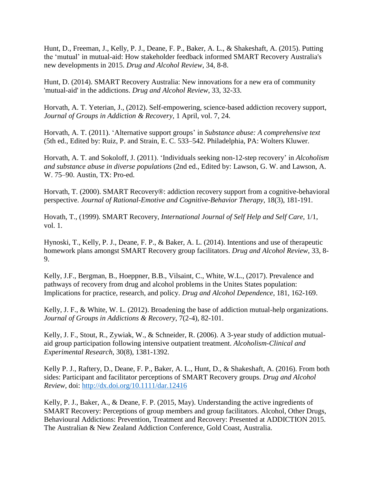Hunt, D., Freeman, J., Kelly, P. J., Deane, F. P., Baker, A. L., & Shakeshaft, A. (2015). Putting the 'mutual' in mutual-aid: How stakeholder feedback informed SMART Recovery Australia's new developments in 2015. *Drug and Alcohol Review*, 34, 8-8.

Hunt, D. (2014). SMART Recovery Australia: New innovations for a new era of community 'mutual-aid' in the addictions. *Drug and Alcohol Review*, 33, 32-33.

Horvath, A. T. Yeterian, J., (2012). Self-empowering, science-based addiction recovery support, *Journal of Groups in Addiction & Recovery,* 1 April, vol. 7, 24.

Horvath, A. T. (2011). 'Alternative support groups' in *Substance abuse: A comprehensive text* (5th ed., Edited by: Ruiz, P. and Strain, E. C. 533–542. Philadelphia, PA: Wolters Kluwer.

Horvath, A. T. and Sokoloff, J. (2011). 'Individuals seeking non-12-step recovery' in *Alcoholism and substance abuse in diverse populations* (2nd ed., Edited by: Lawson, G. W. and Lawson, A. W. 75–90. Austin, TX: Pro-ed.

Horvath, T. (2000). SMART Recovery®: addiction recovery support from a cognitive-behavioral perspective. *Journal of Rational-Emotive and Cognitive-Behavior Therapy*, 18(3), 181-191.

Hovath, T., (1999). SMART Recovery, *International Journal of Self Help and Self Care,* 1/1, vol. 1.

Hynoski, T., Kelly, P. J., Deane, F. P., & Baker, A. L. (2014). Intentions and use of therapeutic homework plans amongst SMART Recovery group facilitators. *Drug and Alcohol Review*, 33, 8- 9.

Kelly, J.F., Bergman, B., Hoeppner, B.B., Vilsaint, C., White, W.L., (2017). Prevalence and pathways of recovery from drug and alcohol problems in the Unites States population: Implications for practice, research, and policy. *Drug and Alcohol Dependence*, 181, 162-169.

Kelly, J. F., & White, W. L. (2012). Broadening the base of addiction mutual-help organizations. *Journal of Groups in Addictions & Recovery*, 7(2-4), 82-101.

Kelly, J. F., Stout, R., Zywiak, W., & Schneider, R. (2006). A 3-year study of addiction mutualaid group participation following intensive outpatient treatment. *Alcoholism-Clinical and Experimental Research*, 30(8), 1381-1392.

Kelly P. J., Raftery, D., Deane, F. P., Baker, A. L., Hunt, D., & Shakeshaft, A. (2016). From both sides: Participant and facilitator perceptions of SMART Recovery groups. *Drug and Alcohol Review*, doi:<http://dx.doi.org/10.1111/dar.12416>

Kelly, P. J., Baker, A., & Deane, F. P. (2015, May). Understanding the active ingredients of SMART Recovery: Perceptions of group members and group facilitators. Alcohol, Other Drugs, Behavioural Addictions: Prevention, Treatment and Recovery: Presented at ADDICTION 2015. The Australian & New Zealand Addiction Conference, Gold Coast, Australia.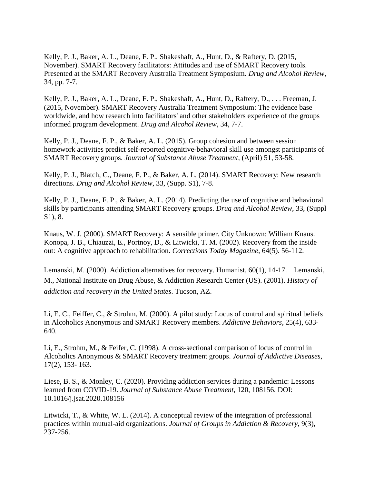Kelly, P. J., Baker, A. L., Deane, F. P., Shakeshaft, A., Hunt, D., & Raftery, D. (2015, November). SMART Recovery facilitators: Attitudes and use of SMART Recovery tools. Presented at the SMART Recovery Australia Treatment Symposium. *Drug and Alcohol Review*, 34, pp. 7-7.

Kelly, P. J., Baker, A. L., Deane, F. P., Shakeshaft, A., Hunt, D., Raftery, D., . . . Freeman, J. (2015, November). SMART Recovery Australia Treatment Symposium: The evidence base worldwide, and how research into facilitators' and other stakeholders experience of the groups informed program development. *Drug and Alcohol Review*, 34, 7-7.

Kelly, P. J., Deane, F. P., & Baker, A. L. (2015). Group cohesion and between session homework activities predict self-reported cognitive-behavioral skill use amongst participants of SMART Recovery groups. *Journal of Substance Abuse Treatment*, (April) 51, 53-58.

Kelly, P. J., Blatch, C., Deane, F. P., & Baker, A. L. (2014). SMART Recovery: New research directions. *Drug and Alcohol Review*, 33, (Supp. S1), 7-8.

Kelly, P. J., Deane, F. P., & Baker, A. L. (2014). Predicting the use of cognitive and behavioral skills by participants attending SMART Recovery groups. *Drug and Alcohol Review*, 33, (Suppl S1), 8.

Knaus, W. J. (2000). SMART Recovery: A sensible primer. City Unknown: William Knaus. Konopa, J. B., Chiauzzi, E., Portnoy, D., & Litwicki, T. M. (2002). Recovery from the inside out: A cognitive approach to rehabilitation. *Corrections Today Magazine*, 64(5). 56-112.

Lemanski, M. (2000). Addiction alternatives for recovery. Humanist, 60(1), 14-17. Lemanski, M., National Institute on Drug Abuse, & Addiction Research Center (US). (2001). *History of addiction and recovery in the United States*. Tucson, AZ.

Li, E. C., Feiffer, C., & Strohm, M. (2000). A pilot study: Locus of control and spiritual beliefs in Alcoholics Anonymous and SMART Recovery members. *Addictive Behaviors*, 25(4), 633- 640.

Li, E., Strohm, M., & Feifer, C. (1998). A cross-sectional comparison of locus of control in Alcoholics Anonymous & SMART Recovery treatment groups. *Journal of Addictive Diseases*, 17(2), 153- 163.

Liese, B. S., & Monley, C. (2020). Providing addiction services during a pandemic: Lessons learned from COVID-19. *Journal of Substance Abuse Treatment*, 120, 108156. DOI: 10.1016/j.jsat.2020.108156

Litwicki, T., & White, W. L. (2014). A conceptual review of the integration of professional practices within mutual-aid organizations. *Journal of Groups in Addiction & Recovery*, 9(3), 237-256.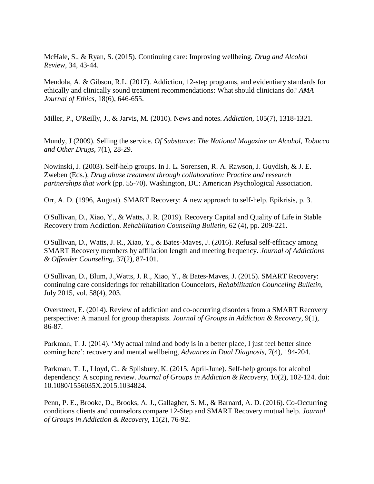McHale, S., & Ryan, S. (2015). Continuing care: Improving wellbeing. *Drug and Alcohol Review*, 34, 43-44.

Mendola, A. & Gibson, R.L. (2017). Addiction, 12-step programs, and evidentiary standards for ethically and clinically sound treatment recommendations: What should clinicians do? *AMA Journal of Ethics*, 18(6), 646-655.

Miller, P., O'Reilly, J., & Jarvis, M. (2010). News and notes. *Addiction*, 105(7), 1318-1321.

Mundy, J (2009). Selling the service. *Of Substance: The National Magazine on Alcohol, Tobacco and Other Drugs*, 7(1), 28-29.

Nowinski, J. (2003). Self-help groups. In J. L. Sorensen, R. A. Rawson, J. Guydish, & J. E. Zweben (Eds.), *Drug abuse treatment through collaboration: Practice and research partnerships that work* (pp. 55-70). Washington, DC: American Psychological Association.

Orr, A. D. (1996, August). SMART Recovery: A new approach to self-help. Epikrisis, p. 3.

O'Sullivan, D., Xiao, Y., & Watts, J. R. (2019). Recovery Capital and Quality of Life in Stable Recovery from Addiction. *Rehabilitation Counseling Bulletin,* 62 (4), pp. 209-221.

O'Sullivan, D., Watts, J. R., Xiao, Y., & Bates-Maves, J. (2016). Refusal self-efficacy among SMART Recovery members by affiliation length and meeting frequency. *Journal of Addictions & Offender Counseling*, 37(2), 87-101.

O'Sullivan, D., Blum, J.,Watts, J. R., Xiao, Y., & Bates-Maves, J. (2015). SMART Recovery: continuing care considerings for rehabilitation Councelors, *Rehabilitation Counceling Bulletin,* July 2015, vol. 58(4), 203.

Overstreet, E. (2014). Review of addiction and co-occurring disorders from a SMART Recovery perspective: A manual for group therapists. *Journal of Groups in Addiction & Recovery*, 9(1), 86-87.

Parkman, T. J. (2014). 'My actual mind and body is in a better place, I just feel better since coming here': recovery and mental wellbeing, *Advances in Dual Diagnosis*, 7(4), 194-204.

Parkman, T. J., Lloyd, C., & Splisbury, K. (2015, April-June). Self-help groups for alcohol dependency: A scoping review. *Journal of Groups in Addiction & Recovery*, 10(2), 102-124. doi: 10.1080/1556035X.2015.1034824.

Penn, P. E., Brooke, D., Brooks, A. J., Gallagher, S. M., & Barnard, A. D. (2016). Co-Occurring conditions clients and counselors compare 12-Step and SMART Recovery mutual help. *Journal of Groups in Addiction & Recovery*, 11(2), 76-92.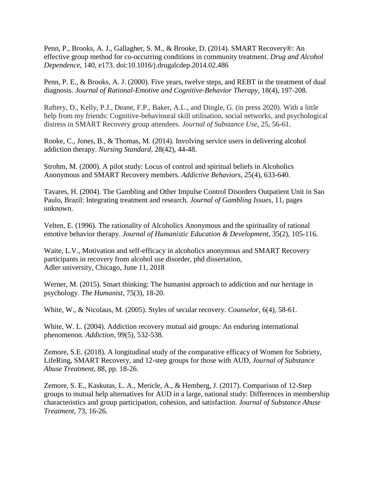Penn, P., Brooks, A. J., Gallagher, S. M., & Brooke, D. (2014). SMART Recovery®: An effective group method for co-occurring conditions in community treatment. *Drug and Alcohol Dependence*, 140, e173. doi:10.1016/j.drugalcdep.2014.02.486

Penn, P. E., & Brooks, A. J. (2000). Five years, twelve steps, and REBT in the treatment of dual diagnosis. *Journal of Rational-Emotive and Cognitive-Behavior Therapy*, 18(4), 197-208.

Raftery, D., Kelly, P.J., Deane, F.P., Baker, A.L., and Dingle, G. (in press 2020). With a little help from my friends: Cognitive-behavioural skill utilisation, social networks, and psychological distress in SMART Recovery group attendees. *Journal of Substance Use*, 25, 56-61.

Rooke, C., Jones, B., & Thomas, M. (2014). Involving service users in delivering alcohol addiction therapy. *Nursing Standard*, 28(42), 44-48.

Strohm, M. (2000). A pilot study: Locus of control and spiritual beliefs in Alcoholics Anonymous and SMART Recovery members. *Addictive Behaviors*, 25(4), 633-640.

Tavares, H. (2004). The Gambling and Other Impulse Control Disorders Outpatient Unit in Sao Paulo, Brazil: Integrating treatment and research. *Journal of Gambling Issues*, 11, pages unknown.

Velten, E. (1996). The rationality of Alcoholics Anonymous and the spirituality of rational emotive behavior therapy. *Journal of Humanistic Education & Development*, 35(2), 105-116.

Waite, L.V., Motivation and self-efficacy in alcoholics anonymous and SMART Recovery participants in recovery from alcohol use disorder, phd dissertation, Adler university, Chicago, June 11, 2018

Werner, M. (2015). Smart thinking: The humanist approach to addiction and our heritage in psychology. *The Humanist*, 75(3), 18-20.

White, W., & Nicolaus, M. (2005). Styles of secular recovery. *Counselor*, 6(4), 58-61.

White, W. L. (2004). Addiction recovery mutual aid groups: An enduring international phenomenon. *Addiction*, 99(5), 532-538.

Zemore, S.E. (2018). A longitudinal study of the comparative efficacy of Women for Sobriety, LifeRing, SMART Recovery, and 12-step groups for those with AUD, *Journal of Substance Abuse Treatment*, 88, pp. 18-26.

Zemore, S. E., Kaskutas, L. A., Mericle, A., & Hemberg, J. (2017). Comparison of 12-Step groups to mutual help alternatives for AUD in a large, national study: Differences in membership characteristics and group participation, cohesion, and satisfaction. *Journal of Substance Abuse Treatment*, 73, 16-26.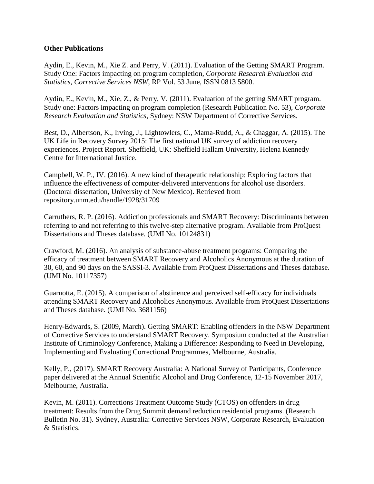## **Other Publications**

Aydin, E., Kevin, M., Xie Z. and Perry, V. (2011). Evaluation of the Getting SMART Program. Study One: Factors impacting on program completion, *Corporate Research Evaluation and Statistics, Corrective Services NSW*, RP Vol. 53 June, ISSN 0813 5800.

Aydin, E., Kevin, M., Xie, Z., & Perry, V. (2011). Evaluation of the getting SMART program. Study one: Factors impacting on program completion (Research Publication No. 53), *Corporate Research Evaluation and Statistics,* Sydney: NSW Department of Corrective Services.

Best, D., Albertson, K., Irving, J., Lightowlers, C., Mama-Rudd, A., & Chaggar, A. (2015). The UK Life in Recovery Survey 2015: The first national UK survey of addiction recovery experiences. Project Report. Sheffield, UK: Sheffield Hallam University, Helena Kennedy Centre for International Justice.

Campbell, W. P., IV. (2016). A new kind of therapeutic relationship: Exploring factors that influence the effectiveness of computer-delivered interventions for alcohol use disorders. (Doctoral dissertation, University of New Mexico). Retrieved from repository.unm.edu/handle/1928/31709

Carruthers, R. P. (2016). Addiction professionals and SMART Recovery: Discriminants between referring to and not referring to this twelve-step alternative program. Available from ProQuest Dissertations and Theses database. (UMI No. 10124831)

Crawford, M. (2016). An analysis of substance-abuse treatment programs: Comparing the efficacy of treatment between SMART Recovery and Alcoholics Anonymous at the duration of 30, 60, and 90 days on the SASSI-3. Available from ProQuest Dissertations and Theses database. (UMI No. 10117357)

Guarnotta, E. (2015). A comparison of abstinence and perceived self-efficacy for individuals attending SMART Recovery and Alcoholics Anonymous. Available from ProQuest Dissertations and Theses database. (UMI No. 3681156)

Henry-Edwards, S. (2009, March). Getting SMART: Enabling offenders in the NSW Department of Corrective Services to understand SMART Recovery. Symposium conducted at the Australian Institute of Criminology Conference, Making a Difference: Responding to Need in Developing, Implementing and Evaluating Correctional Programmes, Melbourne, Australia.

Kelly, P., (2017). SMART Recovery Australia: A National Survey of Participants, Conference paper delivered at the Annual Scientific Alcohol and Drug Conference, 12-15 November 2017, Melbourne, Australia.

Kevin, M. (2011). Corrections Treatment Outcome Study (CTOS) on offenders in drug treatment: Results from the Drug Summit demand reduction residential programs. (Research Bulletin No. 31). Sydney, Australia: Corrective Services NSW, Corporate Research, Evaluation & Statistics.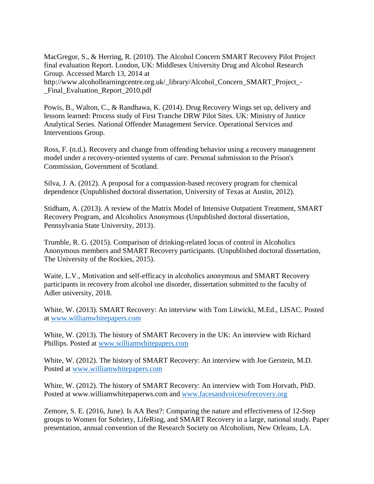MacGregor, S., & Herring, R. (2010). The Alcohol Concern SMART Recovery Pilot Project final evaluation Report. London, UK: Middlesex University Drug and Alcohol Research Group. Accessed March 13, 2014 at http://www.alcohollearningcentre.org.uk/\_library/Alcohol\_Concern\_SMART\_Project\_-\_Final\_Evaluation\_Report\_2010.pdf

Powis, B., Walton, C., & Randhawa, K. (2014). Drug Recovery Wings set up, delivery and lessons learned: Process study of First Tranche DRW Pilot Sites. UK: Ministry of Justice Analytical Series. National Offender Management Service. Operational Services and Interventions Group.

Ross, F. (n.d.). Recovery and change from offending behavior using a recovery management model under a recovery-oriented systems of care. Personal submission to the Prison's Commission, Government of Scotland.

Silva, J. A. (2012). A proposal for a compassion-based recovery program for chemical dependence (Unpublished doctoral dissertation, University of Texas at Austin, 2012).

Stidham, A. (2013). A review of the Matrix Model of Intensive Outpatient Treatment, SMART Recovery Program, and Alcoholics Anonymous (Unpublished doctoral dissertation, Pennsylvania State University, 2013).

Trumble, R. G. (2015). Comparison of drinking-related locus of control in Alcoholics Anonymous members and SMART Recovery participants. (Unpublished doctoral dissertation, The University of the Rockies, 2015).

Waite, L.V., Motivation and self-efficacy in alcoholics anonymous and SMART Recovery participants in recovery from alcohol use disorder, dissertation submitted to the faculty of Adler university, 2018.

White, W. (2013). SMART Recovery: An interview with Tom Litwicki, M.Ed., LISAC. Posted at [www.williamwhitepapers.com](http://www.williamwhitepapers.com/)

White, W. (2013). The history of SMART Recovery in the UK: An interview with Richard Phillips. Posted at [www.williamwhitepapers.com](http://www.williamwhitepapers.com/)

White, W. (2012). The history of SMART Recovery: An interview with Joe Gerstein, M.D. Posted at [www.williamwhitepapers.com](http://www.williamwhitepapers.com/)

White, W. (2012). The history of SMART Recovery: An interview with Tom Horvath, PhD. Posted at www.williamwhitepaperws.com and [www.facesandvoicesofrecovery.org](http://www.facesandvoicesofrecovery.org/)

Zemore, S. E. (2016, June). Is AA Best?: Comparing the nature and effectiveness of 12-Step groups to Women for Sobriety, LifeRing, and SMART Recovery in a large, national study. Paper presentation, annual convention of the Research Society on Alcoholism, New Orleans, LA.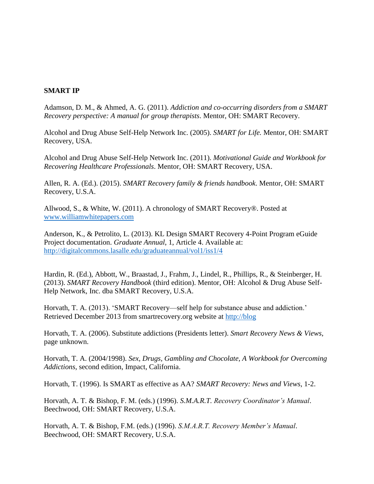## **SMART IP**

Adamson, D. M., & Ahmed, A. G. (2011). *Addiction and co-occurring disorders from a SMART Recovery perspective: A manual for group therapists*. Mentor, OH: SMART Recovery.

Alcohol and Drug Abuse Self-Help Network Inc. (2005). *SMART for Life.* Mentor, OH: SMART Recovery, USA.

Alcohol and Drug Abuse Self-Help Network Inc. (2011). *Motivational Guide and Workbook for Recovering Healthcare Professionals*. Mentor, OH: SMART Recovery, USA.

Allen, R. A. (Ed.). (2015). *SMART Recovery family & friends handbook*. Mentor, OH: SMART Recovery, U.S.A.

Allwood, S., & White, W. (2011). A chronology of SMART Recovery®. Posted at [www.williamwhitepapers.com](http://www.williamwhitepapers.com/)

Anderson, K., & Petrolito, L. (2013). KL Design SMART Recovery 4-Point Program eGuide Project documentation. *Graduate Annual*, 1, Article 4. Available at: <http://digitalcommons.lasalle.edu/graduateannual/vol1/iss1/4>

Hardin, R. (Ed.), Abbott, W., Braastad, J., Frahm, J., Lindel, R., Phillips, R., & Steinberger, H. (2013). *SMART Recovery Handbook* (third edition). Mentor, OH: Alcohol & Drug Abuse Self-Help Network, Inc. dba SMART Recovery, U.S.A.

Horvath, T. A. (2013). 'SMART Recovery—self help for substance abuse and addiction.' Retrieved December 2013 from smartrecovery.org website at [http://blog](http://blog/)

Horvath, T. A. (2006). Substitute addictions (Presidents letter). *Smart Recovery News & Views*, page unknown.

Horvath, T. A. (2004/1998). *Sex, Drugs, Gambling and Chocolate, A Workbook for Overcoming Addictions,* second edition, Impact, California.

Horvath, T. (1996). Is SMART as effective as AA? *SMART Recovery: News and Views*, 1-2.

Horvath, A. T. & Bishop, F. M. (eds.) (1996). *S.M.A.R.T. Recovery Coordinator's Manual*. Beechwood, OH: SMART Recovery, U.S.A.

Horvath, A. T. & Bishop, F.M. (eds.) (1996). *S.M.A.R.T. Recovery Member's Manual*. Beechwood, OH: SMART Recovery, U.S.A.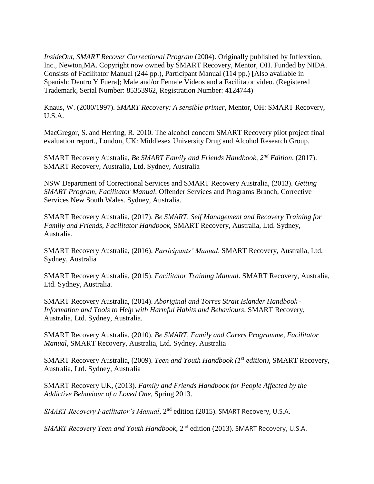*InsideOut, SMART Recover Correctional Program* (2004). Originally published by Inflexxion, Inc., Newton,MA. Copyright now owned by SMART Recovery, Mentor, OH. Funded by NIDA. Consists of Facilitator Manual (244 pp.), Participant Manual (114 pp.) [Also available in Spanish: Dentro Y Fuera]; Male and/or Female Videos and a Facilitator video. (Registered Trademark, Serial Number: [85353962,](http://tmsearch.uspto.gov/bin/showfield?f=doc&state=4810:y72wzh.2.8) Registration Number: [4124744\)](http://tmsearch.uspto.gov/bin/showfield?f=doc&state=4810:y72wzh.2.8)

Knaus, W. (2000/1997). *SMART Recovery: A sensible primer*, Mentor, OH: SMART Recovery, U.S.A.

MacGregor, S. and Herring, R. 2010. The alcohol concern SMART Recovery pilot project final evaluation report., London, UK: Middlesex University Drug and Alcohol Research Group.

SMART Recovery Australia, *Be SMART Family and Friends Handbook, 2nd Edition*. (2017). SMART Recovery, Australia, Ltd. Sydney, Australia

NSW Department of Correctional Services and SMART Recovery Australia, (2013). *Getting SMART Program, Facilitator Manual*. Offender Services and Programs Branch, Corrective Services New South Wales. Sydney, Australia.

SMART Recovery Australia, (2017). *Be SMART, Self Management and Recovery Training for Family and Friends, Facilitator Handbook,* SMART Recovery, Australia, Ltd. Sydney, Australia.

SMART Recovery Australia, (2016). *Participants' Manual*. SMART Recovery, Australia, Ltd. Sydney, Australia

SMART Recovery Australia, (2015). *Facilitator Training Manual*. SMART Recovery, Australia, Ltd. Sydney, Australia.

SMART Recovery Australia, (2014). *Aboriginal and Torres Strait Islander Handbook - Information and Tools to Help with Harmful Habits and Behaviours*. SMART Recovery, Australia, Ltd. Sydney, Australia.

SMART Recovery Australia, (2010). *Be SMART, Family and Carers Programme, Facilitator Manual,* SMART Recovery, Australia, Ltd. Sydney, Australia

SMART Recovery Australia, (2009). *Teen and Youth Handbook (1st edition),* SMART Recovery, Australia, Ltd. Sydney, Australia

SMART Recovery UK, (2013). *Family and Friends Handbook for People Affected by the Addictive Behaviour of a Loved One*, Spring 2013.

*SMART Recovery Facilitator's Manual*, 2nd edition (2015). SMART Recovery, U.S.A.

*SMART Recovery Teen and Youth Handbook*, 2nd edition (2013). SMART Recovery, U.S.A.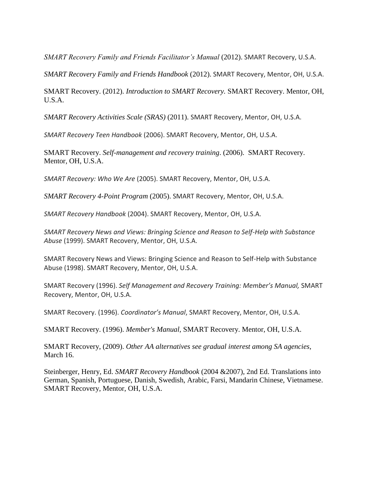*SMART Recovery Family and Friends Facilitator's Manual* (2012). SMART Recovery, U.S.A.

*SMART Recovery Family and Friends Handbook* (2012). SMART Recovery, Mentor, OH, U.S.A.

SMART Recovery. (2012). *Introduction to SMART Recovery.* SMART Recovery. Mentor, OH, U.S.A.

*SMART Recovery Activities Scale (SRAS)* (2011). SMART Recovery, Mentor, OH, U.S.A.

*SMART Recovery Teen Handbook* (2006). SMART Recovery, Mentor, OH, U.S.A.

SMART Recovery. *Self-management and recovery training*. (2006). SMART Recovery. Mentor, OH, U.S.A.

*SMART Recovery: Who We Are* (2005). SMART Recovery, Mentor, OH, U.S.A.

*[SMART Recovery](http://tmsearch.uspto.gov/bin/showfield?f=doc&state=4810:y72wzh.2.12) 4-Point Program* (2005). SMART Recovery, Mentor, OH, U.S.A.

*SMART Recovery Handbook* (2004). SMART Recovery, Mentor, OH, U.S.A.

*SMART Recovery News and Views: Bringing Science and Reason to Self-Help with Substance Abuse* (1999). SMART Recovery, Mentor, OH, U.S.A.

SMART Recovery News and Views: Bringing Science and Reason to Self-Help with Substance Abuse (1998). SMART Recovery, Mentor, OH, U.S.A.

SMART Recovery (1996). *Self Management and Recovery Training: Member's Manual,* SMART Recovery, Mentor, OH, U.S.A.

SMART Recovery. (1996). *Coordinator's Manual*, SMART Recovery, Mentor, OH, U.S.A.

SMART Recovery. (1996). *Member's Manual*, SMART Recovery. Mentor, OH, U.S.A.

SMART Recovery, (2009). *Other AA alternatives see gradual interest among SA agencies*, March 16.

Steinberger, Henry, Ed. *SMART Recovery Handbook* (2004 &2007), 2nd Ed. Translations into German, Spanish, Portuguese, Danish, Swedish, Arabic, Farsi, Mandarin Chinese, Vietnamese. SMART Recovery, Mentor, OH, U.S.A.